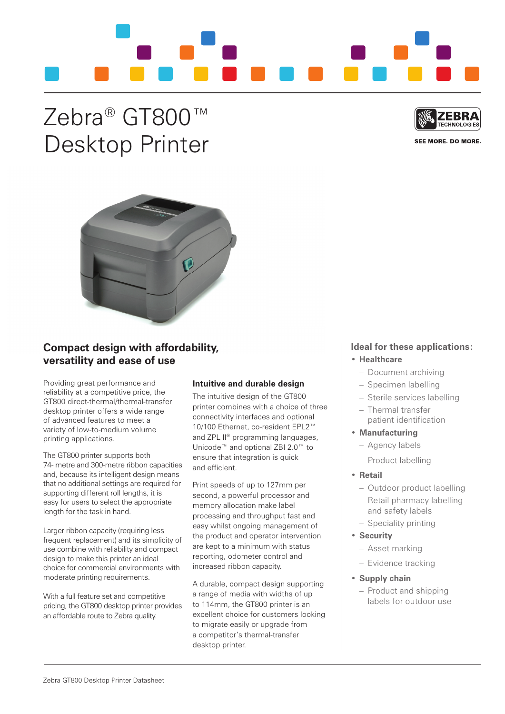

# Zebra® GT800™ Desktop Printer



SEE MORE, DO MORE.



## **Compact design with affordability, versatility and ease of use**

providing great performance and reliability at a competitive price, the GT800 direct-thermal/thermal-transfer desktop printer offers a wide range of advanced features to meet a variety of low-to-medium volume printing applications.

The GT800 printer supports both 74- metre and 300-metre ribbon capacities and, because its intelligent design means that no additional settings are required for supporting different roll lengths, it is easy for users to select the appropriate length for the task in hand.

Larger ribbon capacity (requiring less frequent replacement) and its simplicity of use combine with reliability and compact design to make this printer an ideal choice for commercial environments with moderate printing requirements.

With a full feature set and competitive pricing, the GT800 desktop printer provides an affordable route to Zebra quality.

## **Intuitive and durable design**

The intuitive design of the GT800 printer combines with a choice of three connectivity interfaces and optional 10/100 Ethernet, co-resident EPL2™ and ZPL II® programming languages, Unicode™ and optional Zbi 2.0™ to ensure that integration is quick and efficient.

print speeds of up to 127mm per second, a powerful processor and memory allocation make label processing and throughput fast and easy whilst ongoing management of the product and operator intervention are kept to a minimum with status reporting, odometer control and increased ribbon capacity.

a durable, compact design supporting a range of media with widths of up to 114mm, the GT800 printer is an excellent choice for customers looking to migrate easily or upgrade from a competitor's thermal-transfer desktop printer.

## **Ideal for these applications:**

### • **Healthcare**

- Document archiving
- Specimen labelling
- Sterile services labelling
- Thermal transfer patient identification
- • **Manufacturing** 
	- Agency labels
	- product labelling

## • **Retail**

- outdoor product labelling
- Retail pharmacy labelling and safety labels
- Speciality printing
- • **Security**
- Asset marking
- Evidence tracking

## • **Supply chain**

– product and shipping labels for outdoor use